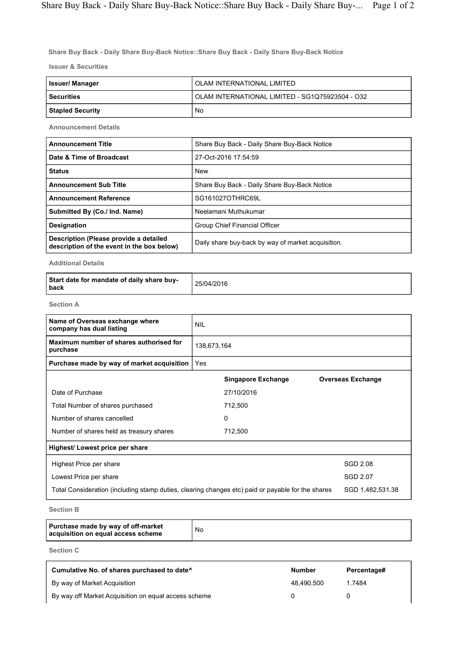Share Buy Back - Daily Share Buy-Back Notice::Share Buy Back - Daily Share Buy-Back Notice

Issuer & Securities

| Issuer/ Manager         | OLAM INTERNATIONAL LIMITED                      |  |  |  |
|-------------------------|-------------------------------------------------|--|--|--|
| <b>Securities</b>       | OLAM INTERNATIONAL LIMITED - SG1Q75923504 - O32 |  |  |  |
| <b>Stapled Security</b> | No                                              |  |  |  |

Announcement Details

| <b>Announcement Title</b>                                                            | Share Buy Back - Daily Share Buy-Back Notice       |  |  |  |
|--------------------------------------------------------------------------------------|----------------------------------------------------|--|--|--|
| Date & Time of Broadcast                                                             | 27-Oct-2016 17:54:59                               |  |  |  |
| <b>Status</b>                                                                        | <b>New</b>                                         |  |  |  |
| <b>Announcement Sub Title</b>                                                        | Share Buy Back - Daily Share Buy-Back Notice       |  |  |  |
| <b>Announcement Reference</b>                                                        | SG161027OTHRC69L                                   |  |  |  |
| Submitted By (Co./ Ind. Name)                                                        | Neelamani Muthukumar                               |  |  |  |
| <b>Designation</b>                                                                   | Group Chief Financial Officer                      |  |  |  |
| Description (Please provide a detailed<br>description of the event in the box below) | Daily share buy-back by way of market acquisition. |  |  |  |

Additional Details

| Start date for mandate of daily share buy-<br>l back | 25/04/2016 |
|------------------------------------------------------|------------|
|------------------------------------------------------|------------|

Section A

| Name of Overseas exchange where<br>company has dual listing                                       | <b>NIL</b><br>138,673,164 |                           |                          |  |
|---------------------------------------------------------------------------------------------------|---------------------------|---------------------------|--------------------------|--|
| Maximum number of shares authorised for<br>purchase                                               |                           |                           |                          |  |
| Purchase made by way of market acquisition                                                        | Yes                       |                           |                          |  |
|                                                                                                   |                           | <b>Singapore Exchange</b> | <b>Overseas Exchange</b> |  |
| Date of Purchase                                                                                  |                           | 27/10/2016                |                          |  |
| Total Number of shares purchased                                                                  |                           | 712,500                   |                          |  |
| Number of shares cancelled                                                                        |                           | 0                         |                          |  |
| Number of shares held as treasury shares                                                          |                           | 712,500                   |                          |  |
| Highest/ Lowest price per share                                                                   |                           |                           |                          |  |
| Highest Price per share                                                                           |                           |                           | SGD 2.08                 |  |
| Lowest Price per share                                                                            |                           |                           | SGD 2.07                 |  |
| Total Consideration (including stamp duties, clearing changes etc) paid or payable for the shares |                           | SGD 1,482,531.38          |                          |  |
| 0 - - 1 - - - D                                                                                   |                           |                           |                          |  |

Section B

| Purchase made by way of off-market<br>acquisition on equal access scheme | No |
|--------------------------------------------------------------------------|----|
|--------------------------------------------------------------------------|----|

Section C

| Cumulative No. of shares purchased to date <sup>^</sup> | <b>Number</b> | Percentage# |
|---------------------------------------------------------|---------------|-------------|
| By way of Market Acquisition                            | 48.490.500    | 1.7484      |
| By way off Market Acquisition on equal access scheme    |               |             |